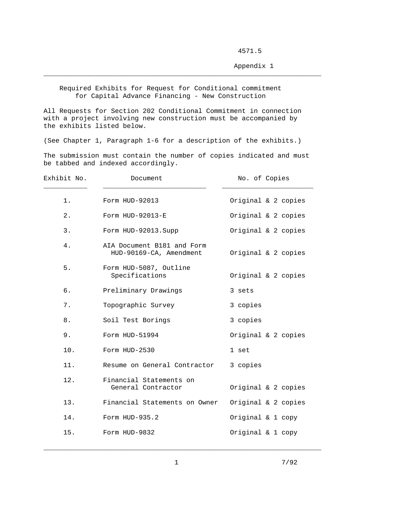4571.5

Appendix 1

 Required Exhibits for Request for Conditional commitment for Capital Advance Financing - New Construction

\_\_\_\_\_\_\_\_\_\_\_\_\_\_\_\_\_\_\_\_\_\_\_\_\_\_\_\_\_\_\_\_\_\_\_\_\_\_\_\_\_\_\_\_\_\_\_\_\_\_\_\_\_\_\_\_\_\_\_\_\_\_\_\_\_\_\_\_\_\_

All Requests for Section 202 Conditional Commitment in connection with a project involving new construction must be accompanied by the exhibits listed below.

(See Chapter 1, Paragraph 1-6 for a description of the exhibits.)

The submission must contain the number of copies indicated and must be tabbed and indexed accordingly.

| Exhibit No. | Document                                              | No. of Copies       |
|-------------|-------------------------------------------------------|---------------------|
| 1.          | Form HUD-92013                                        | Original & 2 copies |
| 2.          | Form HUD-92013-E                                      | Original & 2 copies |
| 3.          | Form HUD-92013. Supp                                  | Original & 2 copies |
| 4.          | AIA Document B181 and Form<br>HUD-90169-CA, Amendment | Original & 2 copies |
| 5.          | Form HUD-5087, Outline<br>Specifications              | Original & 2 copies |
| б.          | Preliminary Drawings                                  | 3 sets              |
| 7.          | Topographic Survey                                    | 3 copies            |
| 8.          | Soil Test Borings                                     | 3 copies            |
| 9.          | Form HUD-51994                                        | Original & 2 copies |
| 10.         | Form HUD-2530                                         | 1 set               |
| 11.         | Resume on General Contractor                          | 3 copies            |
| 12.         | Financial Statements on<br>General Contractor         | Original & 2 copies |
| 13.         | Financial Statements on Owner                         | Original & 2 copies |
| 14.         | Form HUD-935.2                                        | Original & 1 copy   |
| 15.         | Form HUD-9832                                         | Original & 1 copy   |

\_\_\_\_\_\_\_\_\_\_\_\_\_\_\_\_\_\_\_\_\_\_\_\_\_\_\_\_\_\_\_\_\_\_\_\_\_\_\_\_\_\_\_\_\_\_\_\_\_\_\_\_\_\_\_\_\_\_\_\_\_\_\_\_\_\_\_\_\_\_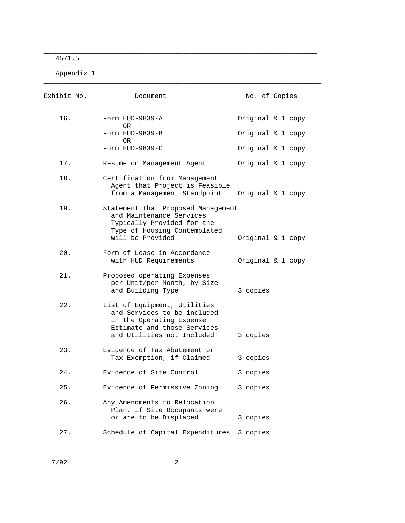4571.5

Appendix 1

| Exhibit No. | Document                                                                                                                                             | No. of Copies |                   |
|-------------|------------------------------------------------------------------------------------------------------------------------------------------------------|---------------|-------------------|
| 16.         | Form HUD-9839-A<br>OR.                                                                                                                               |               | Original & 1 copy |
|             | Form HUD-9839-B<br>OR.                                                                                                                               |               | Original & 1 copy |
|             | Form HUD-9839-C                                                                                                                                      |               | Original & 1 copy |
| 17.         | Resume on Management Agent                                                                                                                           |               | Original & 1 copy |
| 18.         | Certification from Management<br>Agent that Project is Feasible<br>from a Management Standpoint                                                      |               | Original & 1 copy |
| 19.         | Statement that Proposed Management<br>and Maintenance Services<br>Typically Provided for the<br>Type of Housing Contemplated<br>will be Provided     |               | Original & 1 copy |
| 20.         | Form of Lease in Accordance<br>with HUD Requirements                                                                                                 |               | Original & 1 copy |
| 21.         | Proposed operating Expenses<br>per Unit/per Month, by Size<br>and Building Type                                                                      | 3 copies      |                   |
| 22.         | List of Equipment, Utilities<br>and Services to be included<br>in the Operating Expense<br>Estimate and those Services<br>and Utilities not Included | 3 copies      |                   |
| 23.         | Evidence of Tax Abatement or<br>Tax Exemption, if Claimed                                                                                            | 3 copies      |                   |
| 24.         | Evidence of Site Control                                                                                                                             | 3 copies      |                   |
| 25.         | Evidence of Permissive Zoning                                                                                                                        | 3 copies      |                   |
| 26.         | Any Amendments to Relocation<br>Plan, if Site Occupants were<br>or are to be Displaced                                                               | 3 copies      |                   |
| 27.         | Schedule of Capital Expenditures                                                                                                                     | 3 copies      |                   |

\_\_\_\_\_\_\_\_\_\_\_\_\_\_\_\_\_\_\_\_\_\_\_\_\_\_\_\_\_\_\_\_\_\_\_\_\_\_\_\_\_\_\_\_\_\_\_\_\_\_\_\_\_\_\_\_\_\_\_\_\_\_\_\_\_\_\_\_\_

 $\_$  , and the set of the set of the set of the set of the set of the set of the set of the set of the set of the set of the set of the set of the set of the set of the set of the set of the set of the set of the set of th

\_\_\_\_\_\_\_\_\_\_\_\_\_\_\_\_\_\_\_\_\_\_\_\_\_\_\_\_\_\_\_\_\_\_\_\_\_\_\_\_\_\_\_\_\_\_\_\_\_\_\_\_\_\_\_\_\_\_\_\_\_\_\_\_\_\_\_\_\_\_